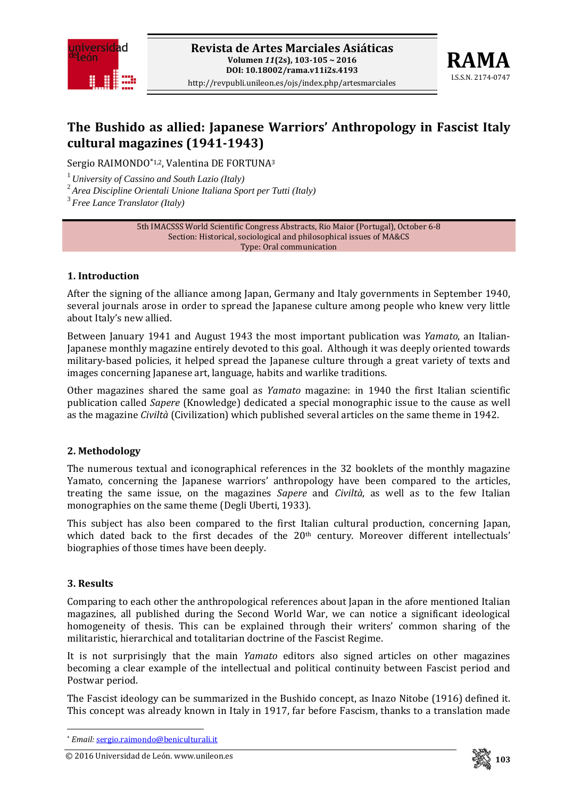



# **The Bushido as allied: Japanese Warriors' Anthropology in Fascist Italy cultural magazines (19411943)**

Sergio RAIMONDO\*1,2, Valentina DE FORTUNA3

<sup>1</sup>*University of Cassino and South Lazio (Italy)* 

<sup>2</sup>*Area Discipline Orientali Unione Italiana Sport per Tutti (Italy)* 

<sup>3</sup>*Free Lance Translator (Italy)*

5th IMACSSS World Scientific Congress Abstracts, Rio Maior (Portugal), October 6‐8 Section: Historical, sociological and philosophical issues of MA&CS Type: Oral communication

## **1. Introduction**

After the signing of the alliance among Japan, Germany and Italy governments in September 1940, several journals arose in order to spread the Japanese culture among people who knew very little about Italy's new allied.

Between January 1941 and August 1943 the most important publication was *Yamato*, an Italian‐ Japanese monthly magazine entirely devoted to this goal. Although it was deeply oriented towards military‐based policies, it helped spread the Japanese culture through a great variety of texts and images concerning Japanese art, language, habits and warlike traditions.

Other magazines shared the same goal as *Yamato* magazine: in 1940 the first Italian scientific publication called *Sapere* (Knowledge) dedicated a special monographic issue to the cause as well as the magazine *Civiltà* (Civilization) which published several articles on the same theme in 1942.

## **2. Methodology**

The numerous textual and iconographical references in the 32 booklets of the monthly magazine Yamato, concerning the Japanese warriors' anthropology have been compared to the articles, treating the same issue, on the magazines *Sapere* and *Civiltà*, as well as to the few Italian monographies on the same theme (Degli Uberti, 1933).

This subject has also been compared to the first Italian cultural production, concerning Japan, which dated back to the first decades of the 20<sup>th</sup> century. Moreover different intellectuals' biographies of those times have been deeply.

## **3. Results**

Comparing to each other the anthropological references about Japan in the afore mentioned Italian magazines, all published during the Second World War, we can notice a significant ideological homogeneity of thesis. This can be explained through their writers' common sharing of the militaristic, hierarchical and totalitarian doctrine of the Fascist Regime.

It is not surprisingly that the main *Yamato* editors also signed articles on other magazines becoming a clear example of the intellectual and political continuity between Fascist period and Postwar period.

The Fascist ideology can be summarized in the Bushido concept, as Inazo Nitobe (1916) defined it. This concept was already known in Italy in 1917, far before Fascism, thanks to a translation made



 \* *Email:* sergio.raimondo@beniculturali.it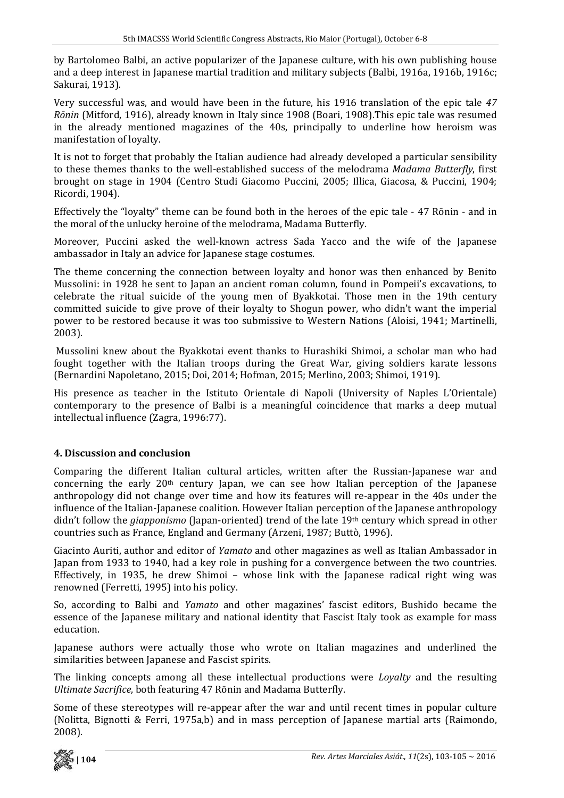by Bartolomeo Balbi, an active popularizer of the Japanese culture, with his own publishing house and a deep interest in Japanese martial tradition and military subjects (Balbi, 1916a, 1916b, 1916c; Sakurai, 1913).

Very successful was, and would have been in the future, his 1916 translation of the epic tale *47 Rōnin* (Mitford, 1916), already known in Italy since 1908 (Boari, 1908).This epic tale was resumed in the already mentioned magazines of the 40s, principally to underline how heroism was manifestation of loyalty.

It is not to forget that probably the Italian audience had already developed a particular sensibility to these themes thanks to the well‐established success of the melodrama *Madama Butterfly*, first brought on stage in 1904 (Centro Studi Giacomo Puccini, 2005; Illica, Giacosa, & Puccini, 1904; Ricordi, 1904).

Effectively the "loyalty" theme can be found both in the heroes of the epic tale ‐ 47 Rōnin ‐ and in the moral of the unlucky heroine of the melodrama, Madama Butterfly.

Moreover, Puccini asked the well-known actress Sada Yacco and the wife of the Japanese ambassador in Italy an advice for Japanese stage costumes.

The theme concerning the connection between loyalty and honor was then enhanced by Benito Mussolini: in 1928 he sent to Japan an ancient roman column, found in Pompeii's excavations, to celebrate the ritual suicide of the young men of Byakkotai. Those men in the 19th century committed suicide to give prove of their loyalty to Shogun power, who didn't want the imperial power to be restored because it was too submissive to Western Nations (Aloisi, 1941; Martinelli, 2003).

 Mussolini knew about the Byakkotai event thanks to Hurashiki Shimoi, a scholar man who had fought together with the Italian troops during the Great War, giving soldiers karate lessons (Bernardini Napoletano, 2015; Doi, 2014; Hofman, 2015; Merlino, 2003; Shimoi, 1919).

His presence as teacher in the Istituto Orientale di Napoli (University of Naples L'Orientale) contemporary to the presence of Balbi is a meaningful coincidence that marks a deep mutual intellectual influence (Zagra, 1996:77).

## **4. Discussion and conclusion**

Comparing the different Italian cultural articles, written after the Russian‐Japanese war and concerning the early  $20<sup>th</sup>$  century Iapan, we can see how Italian perception of the Japanese anthropology did not change over time and how its features will re‐appear in the 40s under the influence of the Italian-Japanese coalition. However Italian perception of the Japanese anthropology didn't follow the *giapponismo* (Japan‐oriented) trend of the late 19th century which spread in other countries such as France, England and Germany (Arzeni, 1987; Buttò, 1996).

Giacinto Auriti, author and editor of *Yamato* and other magazines as well as Italian Ambassador in Japan from 1933 to 1940, had a key role in pushing for a convergence between the two countries. Effectively, in 1935, he drew Shimoi - whose link with the Japanese radical right wing was renowned (Ferretti, 1995) into his policy.

So, according to Balbi and *Yamato* and other magazines' fascist editors, Bushido became the essence of the Japanese military and national identity that Fascist Italy took as example for mass education.

Japanese authors were actually those who wrote on Italian magazines and underlined the similarities between Japanese and Fascist spirits.

The linking concepts among all these intellectual productions were *Loyalty* and the resulting *Ultimate Sacrifice*, both featuring 47 Rōnin and Madama Butterfly.

Some of these stereotypes will re-appear after the war and until recent times in popular culture (Nolitta, Bignotti & Ferri, 1975a,b) and in mass perception of Japanese martial arts (Raimondo, 2008).